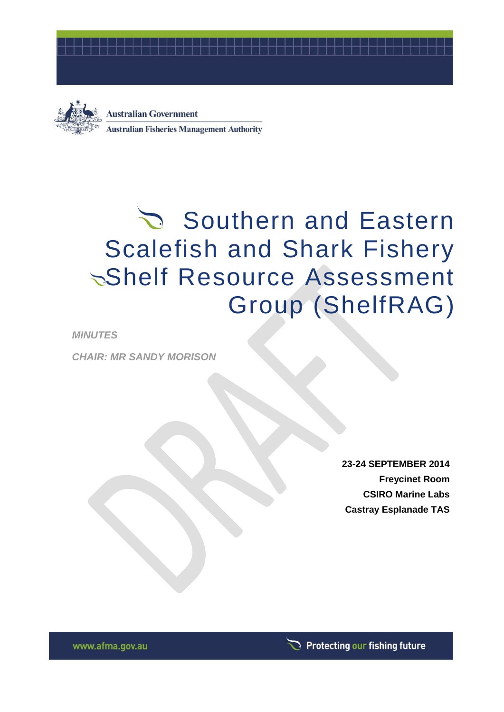



**Australian Government Australian Fisheries Management Authority** 

# Southern and Eastern Scalefish and Shark Fishery Shelf Resource Assessment Group (ShelfRAG)

*MINUTES*

*CHAIR: MR SANDY MORISON*

**23-24 SEPTEMBER 2014 Freycinet Room CSIRO Marine Labs Castray Esplanade TAS**

www.afma.gov.au

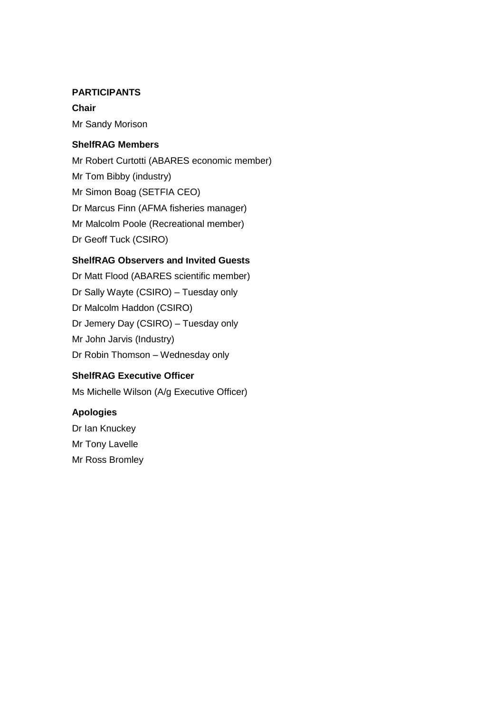#### **PARTICIPANTS**

**Chair** Mr Sandy Morison

#### **ShelfRAG Members**

Mr Robert Curtotti (ABARES economic member) Mr Tom Bibby (industry) Mr Simon Boag (SETFIA CEO) Dr Marcus Finn (AFMA fisheries manager) Mr Malcolm Poole (Recreational member) Dr Geoff Tuck (CSIRO)

#### **ShelfRAG Observers and Invited Guests**

Dr Matt Flood (ABARES scientific member) Dr Sally Wayte (CSIRO) – Tuesday only Dr Malcolm Haddon (CSIRO) Dr Jemery Day (CSIRO) – Tuesday only Mr John Jarvis (Industry) Dr Robin Thomson – Wednesday only

#### **ShelfRAG Executive Officer**

Ms Michelle Wilson (A/g Executive Officer)

#### **Apologies**

Dr Ian Knuckey Mr Tony Lavelle Mr Ross Bromley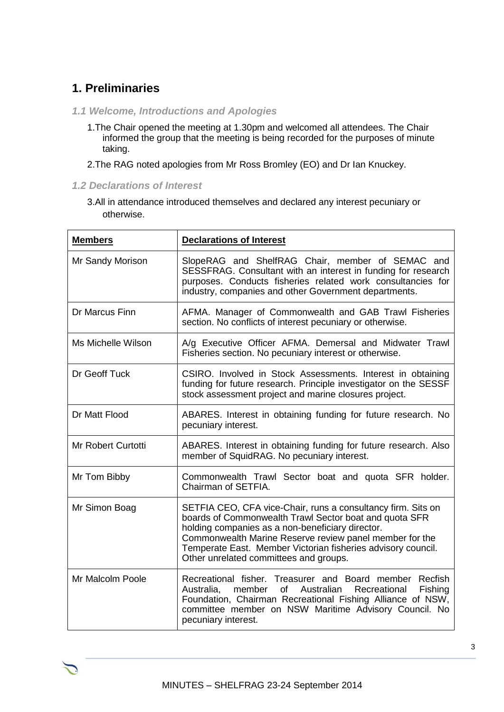# **1. Preliminaries**

- *1.1 Welcome, Introductions and Apologies*
	- 1.The Chair opened the meeting at 1.30pm and welcomed all attendees. The Chair informed the group that the meeting is being recorded for the purposes of minute taking.
	- 2.The RAG noted apologies from Mr Ross Bromley (EO) and Dr Ian Knuckey.
- *1.2 Declarations of Interest*
	- 3.All in attendance introduced themselves and declared any interest pecuniary or otherwise.

| <b>Members</b>            | <b>Declarations of Interest</b>                                                                                                                                                                                                                                                                                                                 |  |  |
|---------------------------|-------------------------------------------------------------------------------------------------------------------------------------------------------------------------------------------------------------------------------------------------------------------------------------------------------------------------------------------------|--|--|
| Mr Sandy Morison          | SlopeRAG and ShelfRAG Chair, member of SEMAC and<br>SESSFRAG. Consultant with an interest in funding for research<br>purposes. Conducts fisheries related work consultancies for<br>industry, companies and other Government departments.                                                                                                       |  |  |
| Dr Marcus Finn            | AFMA. Manager of Commonwealth and GAB Trawl Fisheries<br>section. No conflicts of interest pecuniary or otherwise.                                                                                                                                                                                                                              |  |  |
| Ms Michelle Wilson        | A/g Executive Officer AFMA. Demersal and Midwater Trawl<br>Fisheries section. No pecuniary interest or otherwise.                                                                                                                                                                                                                               |  |  |
| Dr Geoff Tuck             | CSIRO. Involved in Stock Assessments. Interest in obtaining<br>funding for future research. Principle investigator on the SESSF<br>stock assessment project and marine closures project.                                                                                                                                                        |  |  |
| Dr Matt Flood             | ABARES. Interest in obtaining funding for future research. No<br>pecuniary interest.                                                                                                                                                                                                                                                            |  |  |
| <b>Mr Robert Curtotti</b> | ABARES. Interest in obtaining funding for future research. Also<br>member of SquidRAG. No pecuniary interest.                                                                                                                                                                                                                                   |  |  |
| Mr Tom Bibby              | Commonwealth Trawl Sector boat and quota SFR holder.<br>Chairman of SETFIA.                                                                                                                                                                                                                                                                     |  |  |
| Mr Simon Boag             | SETFIA CEO, CFA vice-Chair, runs a consultancy firm. Sits on<br>boards of Commonwealth Trawl Sector boat and quota SFR<br>holding companies as a non-beneficiary director.<br>Commonwealth Marine Reserve review panel member for the<br>Temperate East. Member Victorian fisheries advisory council.<br>Other unrelated committees and groups. |  |  |
| Mr Malcolm Poole          | Recreational fisher. Treasurer and Board member<br>Recfish<br>member<br>Australian<br>Fishing<br>Australia,<br>0f<br>Recreational<br>Foundation, Chairman Recreational Fishing Alliance of NSW,<br>committee member on NSW Maritime Advisory Council. No<br>pecuniary interest.                                                                 |  |  |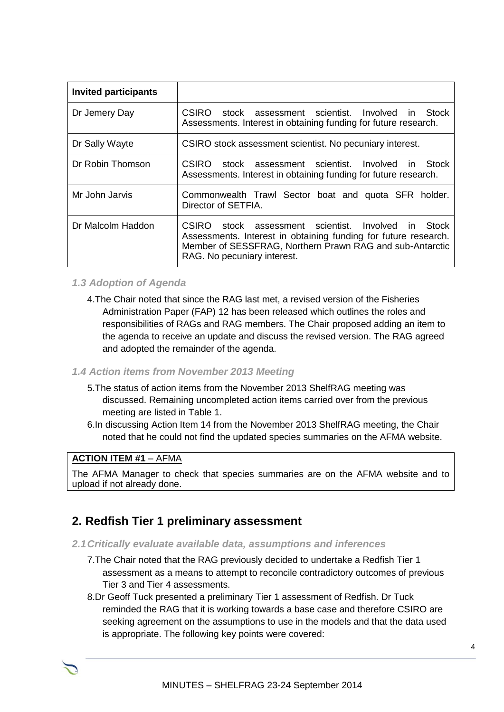| <b>Invited participants</b> |                                                                                                                                                                                                                                     |
|-----------------------------|-------------------------------------------------------------------------------------------------------------------------------------------------------------------------------------------------------------------------------------|
| Dr Jemery Day               | CSIRO stock assessment scientist. Involved in Stock<br>Assessments. Interest in obtaining funding for future research.                                                                                                              |
| Dr Sally Wayte              | CSIRO stock assessment scientist. No pecuniary interest.                                                                                                                                                                            |
| Dr Robin Thomson            | stock assessment scientist. Involved<br><b>CSIRO</b><br>in Stock<br>Assessments. Interest in obtaining funding for future research.                                                                                                 |
| Mr John Jarvis              | Commonwealth Trawl Sector boat and quota SFR holder.<br>Director of SETFIA.                                                                                                                                                         |
| Dr Malcolm Haddon           | stock assessment scientist. Involved<br>CSIRO.<br><b>Stock</b><br>in.<br>Assessments. Interest in obtaining funding for future research.<br>Member of SESSFRAG, Northern Prawn RAG and sub-Antarctic<br>RAG. No pecuniary interest. |

#### *1.3 Adoption of Agenda*

4.The Chair noted that since the RAG last met, a revised version of the Fisheries Administration Paper (FAP) 12 has been released which outlines the roles and responsibilities of RAGs and RAG members. The Chair proposed adding an item to the agenda to receive an update and discuss the revised version. The RAG agreed and adopted the remainder of the agenda.

#### *1.4 Action items from November 2013 Meeting*

- 5.The status of action items from the November 2013 ShelfRAG meeting was discussed. Remaining uncompleted action items carried over from the previous meeting are listed in Table 1.
- 6.In discussing Action Item 14 from the November 2013 ShelfRAG meeting, the Chair noted that he could not find the updated species summaries on the AFMA website.

#### **ACTION ITEM #1** – AFMA

The AFMA Manager to check that species summaries are on the AFMA website and to upload if not already done.

## **2. Redfish Tier 1 preliminary assessment**

- *2.1Critically evaluate available data, assumptions and inferences*
	- 7.The Chair noted that the RAG previously decided to undertake a Redfish Tier 1 assessment as a means to attempt to reconcile contradictory outcomes of previous Tier 3 and Tier 4 assessments.
	- 8.Dr Geoff Tuck presented a preliminary Tier 1 assessment of Redfish. Dr Tuck reminded the RAG that it is working towards a base case and therefore CSIRO are seeking agreement on the assumptions to use in the models and that the data used is appropriate. The following key points were covered: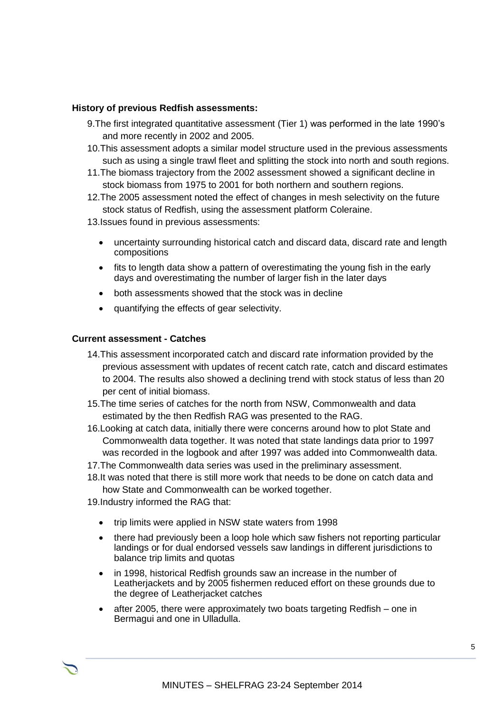#### **History of previous Redfish assessments:**

- 9.The first integrated quantitative assessment (Tier 1) was performed in the late 1990's and more recently in 2002 and 2005.
- 10.This assessment adopts a similar model structure used in the previous assessments such as using a single trawl fleet and splitting the stock into north and south regions.
- 11.The biomass trajectory from the 2002 assessment showed a significant decline in stock biomass from 1975 to 2001 for both northern and southern regions.
- 12.The 2005 assessment noted the effect of changes in mesh selectivity on the future stock status of Redfish, using the assessment platform Coleraine.
- 13.Issues found in previous assessments:
	- uncertainty surrounding historical catch and discard data, discard rate and length compositions
	- fits to length data show a pattern of overestimating the young fish in the early days and overestimating the number of larger fish in the later days
	- both assessments showed that the stock was in decline
	- quantifying the effects of gear selectivity.

#### **Current assessment - Catches**

- 14.This assessment incorporated catch and discard rate information provided by the previous assessment with updates of recent catch rate, catch and discard estimates to 2004. The results also showed a declining trend with stock status of less than 20 per cent of initial biomass.
- 15.The time series of catches for the north from NSW, Commonwealth and data estimated by the then Redfish RAG was presented to the RAG.
- 16.Looking at catch data, initially there were concerns around how to plot State and Commonwealth data together. It was noted that state landings data prior to 1997 was recorded in the logbook and after 1997 was added into Commonwealth data.
- 17.The Commonwealth data series was used in the preliminary assessment.
- 18.It was noted that there is still more work that needs to be done on catch data and how State and Commonwealth can be worked together.
- 19.Industry informed the RAG that:
	- trip limits were applied in NSW state waters from 1998
	- there had previously been a loop hole which saw fishers not reporting particular landings or for dual endorsed vessels saw landings in different jurisdictions to balance trip limits and quotas
	- in 1998, historical Redfish grounds saw an increase in the number of Leatherjackets and by 2005 fishermen reduced effort on these grounds due to the degree of Leatherjacket catches
	- after 2005, there were approximately two boats targeting Redfish one in Bermagui and one in Ulladulla.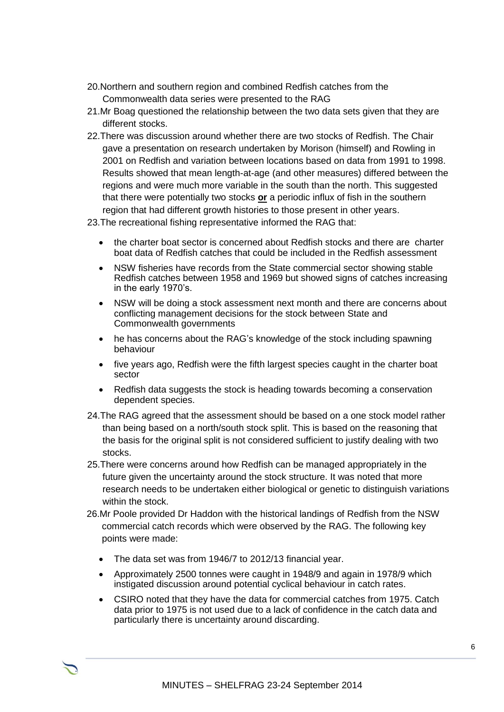- 20.Northern and southern region and combined Redfish catches from the Commonwealth data series were presented to the RAG
- 21.Mr Boag questioned the relationship between the two data sets given that they are different stocks.
- 22.There was discussion around whether there are two stocks of Redfish. The Chair gave a presentation on research undertaken by Morison (himself) and Rowling in 2001 on Redfish and variation between locations based on data from 1991 to 1998. Results showed that mean length-at-age (and other measures) differed between the regions and were much more variable in the south than the north. This suggested that there were potentially two stocks **or** a periodic influx of fish in the southern region that had different growth histories to those present in other years.

23.The recreational fishing representative informed the RAG that:

- the charter boat sector is concerned about Redfish stocks and there are charter boat data of Redfish catches that could be included in the Redfish assessment
- NSW fisheries have records from the State commercial sector showing stable Redfish catches between 1958 and 1969 but showed signs of catches increasing in the early 1970's.
- NSW will be doing a stock assessment next month and there are concerns about conflicting management decisions for the stock between State and Commonwealth governments
- he has concerns about the RAG's knowledge of the stock including spawning behaviour
- five years ago, Redfish were the fifth largest species caught in the charter boat sector
- Redfish data suggests the stock is heading towards becoming a conservation dependent species.
- 24.The RAG agreed that the assessment should be based on a one stock model rather than being based on a north/south stock split. This is based on the reasoning that the basis for the original split is not considered sufficient to justify dealing with two stocks.
- 25.There were concerns around how Redfish can be managed appropriately in the future given the uncertainty around the stock structure. It was noted that more research needs to be undertaken either biological or genetic to distinguish variations within the stock.
- 26.Mr Poole provided Dr Haddon with the historical landings of Redfish from the NSW commercial catch records which were observed by the RAG. The following key points were made:
	- The data set was from 1946/7 to 2012/13 financial year.
	- Approximately 2500 tonnes were caught in 1948/9 and again in 1978/9 which instigated discussion around potential cyclical behaviour in catch rates.
	- CSIRO noted that they have the data for commercial catches from 1975. Catch data prior to 1975 is not used due to a lack of confidence in the catch data and particularly there is uncertainty around discarding.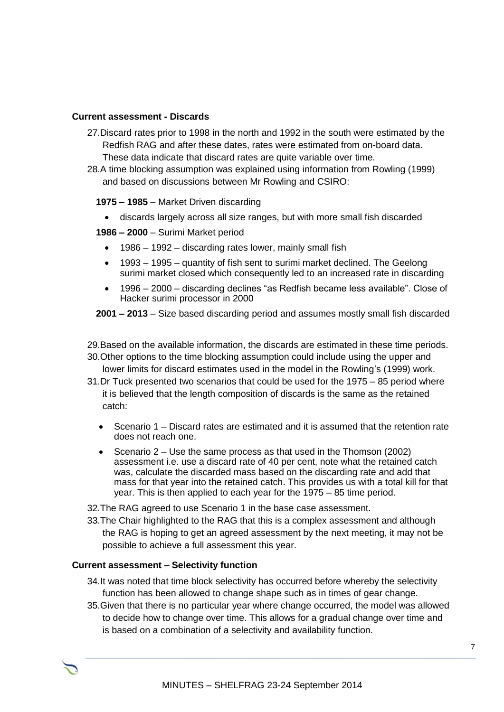#### **Current assessment - Discards**

- 27.Discard rates prior to 1998 in the north and 1992 in the south were estimated by the Redfish RAG and after these dates, rates were estimated from on-board data. These data indicate that discard rates are quite variable over time.
- 28.A time blocking assumption was explained using information from Rowling (1999) and based on discussions between Mr Rowling and CSIRO:

**1975 – 1985** – Market Driven discarding

- discards largely across all size ranges, but with more small fish discarded
- **1986 – 2000** Surimi Market period
	- 1986 1992 discarding rates lower, mainly small fish
	- 1993 1995 quantity of fish sent to surimi market declined. The Geelong surimi market closed which consequently led to an increased rate in discarding
	- 1996 2000 discarding declines "as Redfish became less available". Close of Hacker surimi processor in 2000

**2001 – 2013** – Size based discarding period and assumes mostly small fish discarded

- 29.Based on the available information, the discards are estimated in these time periods.
- 30.Other options to the time blocking assumption could include using the upper and lower limits for discard estimates used in the model in the Rowling's (1999) work.
- 31.Dr Tuck presented two scenarios that could be used for the 1975 85 period where it is believed that the length composition of discards is the same as the retained catch:
	- Scenario 1 Discard rates are estimated and it is assumed that the retention rate does not reach one.
	- Scenario  $2 -$  Use the same process as that used in the Thomson (2002) assessment i.e. use a discard rate of 40 per cent, note what the retained catch was, calculate the discarded mass based on the discarding rate and add that mass for that year into the retained catch. This provides us with a total kill for that year. This is then applied to each year for the 1975 – 85 time period.
- 32.The RAG agreed to use Scenario 1 in the base case assessment.
- 33.The Chair highlighted to the RAG that this is a complex assessment and although the RAG is hoping to get an agreed assessment by the next meeting, it may not be possible to achieve a full assessment this year.

#### **Current assessment – Selectivity function**

- 34.It was noted that time block selectivity has occurred before whereby the selectivity function has been allowed to change shape such as in times of gear change.
- 35.Given that there is no particular year where change occurred, the model was allowed to decide how to change over time. This allows for a gradual change over time and is based on a combination of a selectivity and availability function.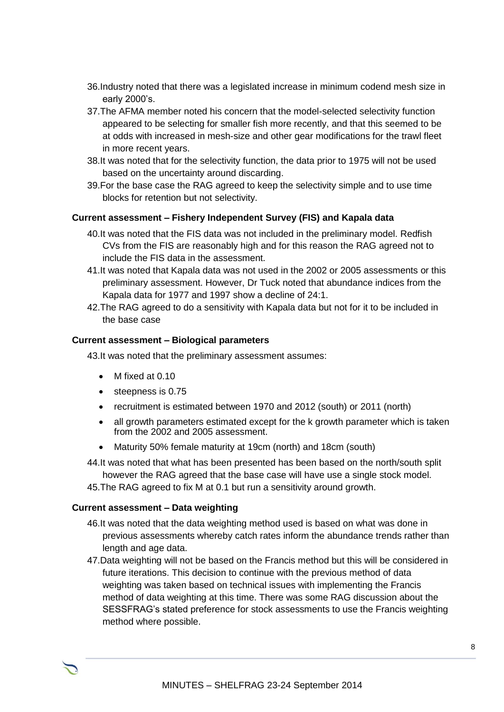- 36.Industry noted that there was a legislated increase in minimum codend mesh size in early 2000's.
- 37.The AFMA member noted his concern that the model-selected selectivity function appeared to be selecting for smaller fish more recently, and that this seemed to be at odds with increased in mesh-size and other gear modifications for the trawl fleet in more recent years.
- 38.It was noted that for the selectivity function, the data prior to 1975 will not be used based on the uncertainty around discarding.
- 39.For the base case the RAG agreed to keep the selectivity simple and to use time blocks for retention but not selectivity.

#### **Current assessment – Fishery Independent Survey (FIS) and Kapala data**

- 40.It was noted that the FIS data was not included in the preliminary model. Redfish CVs from the FIS are reasonably high and for this reason the RAG agreed not to include the FIS data in the assessment.
- 41.It was noted that Kapala data was not used in the 2002 or 2005 assessments or this preliminary assessment. However, Dr Tuck noted that abundance indices from the Kapala data for 1977 and 1997 show a decline of 24:1.
- 42.The RAG agreed to do a sensitivity with Kapala data but not for it to be included in the base case

#### **Current assessment – Biological parameters**

43.It was noted that the preliminary assessment assumes:

- M fixed at 0.10
- $\bullet$  steepness is 0.75
- recruitment is estimated between 1970 and 2012 (south) or 2011 (north)
- all growth parameters estimated except for the k growth parameter which is taken from the 2002 and 2005 assessment.
- Maturity 50% female maturity at 19cm (north) and 18cm (south)
- 44.It was noted that what has been presented has been based on the north/south split however the RAG agreed that the base case will have use a single stock model.
- 45.The RAG agreed to fix M at 0.1 but run a sensitivity around growth.

#### **Current assessment – Data weighting**

- 46.It was noted that the data weighting method used is based on what was done in previous assessments whereby catch rates inform the abundance trends rather than length and age data.
- 47.Data weighting will not be based on the Francis method but this will be considered in future iterations. This decision to continue with the previous method of data weighting was taken based on technical issues with implementing the Francis method of data weighting at this time. There was some RAG discussion about the SESSFRAG's stated preference for stock assessments to use the Francis weighting method where possible.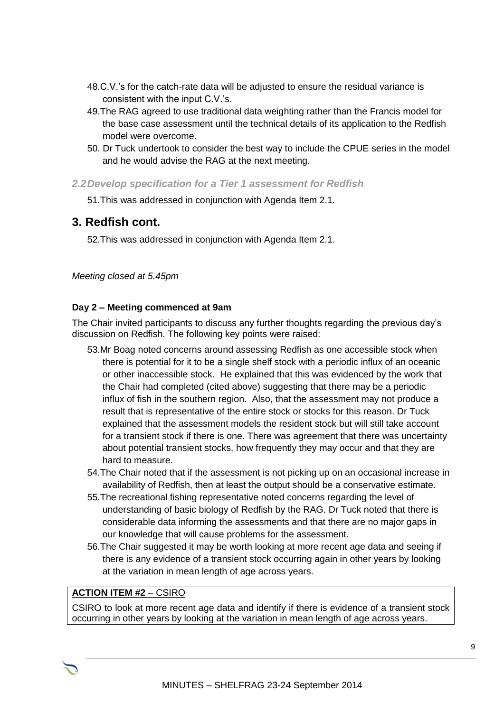- 48.C.V.'s for the catch-rate data will be adjusted to ensure the residual variance is consistent with the input C.V.'s.
- 49.The RAG agreed to use traditional data weighting rather than the Francis model for the base case assessment until the technical details of its application to the Redfish model were overcome.
- 50. Dr Tuck undertook to consider the best way to include the CPUE series in the model and he would advise the RAG at the next meeting.
- *2.2Develop specification for a Tier 1 assessment for Redfish*

51.This was addressed in conjunction with Agenda Item 2.1.

#### **3. Redfish cont.**

52.This was addressed in conjunction with Agenda Item 2.1.

*Meeting closed at 5.45pm*

#### **Day 2 – Meeting commenced at 9am**

The Chair invited participants to discuss any further thoughts regarding the previous day's discussion on Redfish. The following key points were raised:

- 53.Mr Boag noted concerns around assessing Redfish as one accessible stock when there is potential for it to be a single shelf stock with a periodic influx of an oceanic or other inaccessible stock. He explained that this was evidenced by the work that the Chair had completed (cited above) suggesting that there may be a periodic influx of fish in the southern region. Also, that the assessment may not produce a result that is representative of the entire stock or stocks for this reason. Dr Tuck explained that the assessment models the resident stock but will still take account for a transient stock if there is one. There was agreement that there was uncertainty about potential transient stocks, how frequently they may occur and that they are hard to measure.
- 54.The Chair noted that if the assessment is not picking up on an occasional increase in availability of Redfish, then at least the output should be a conservative estimate.
- 55.The recreational fishing representative noted concerns regarding the level of understanding of basic biology of Redfish by the RAG. Dr Tuck noted that there is considerable data informing the assessments and that there are no major gaps in our knowledge that will cause problems for the assessment.
- 56.The Chair suggested it may be worth looking at more recent age data and seeing if there is any evidence of a transient stock occurring again in other years by looking at the variation in mean length of age across years.

#### **ACTION ITEM #2** – CSIRO

CSIRO to look at more recent age data and identify if there is evidence of a transient stock occurring in other years by looking at the variation in mean length of age across years.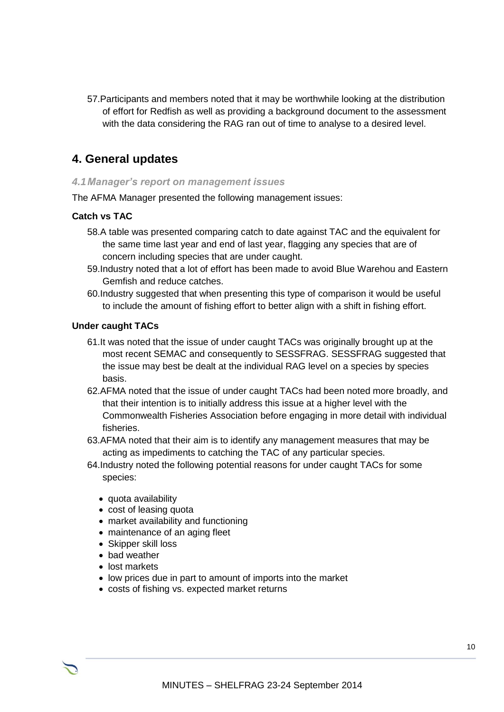57.Participants and members noted that it may be worthwhile looking at the distribution of effort for Redfish as well as providing a background document to the assessment with the data considering the RAG ran out of time to analyse to a desired level.

# **4. General updates**

#### *4.1Manager's report on management issues*

The AFMA Manager presented the following management issues:

#### **Catch vs TAC**

- 58.A table was presented comparing catch to date against TAC and the equivalent for the same time last year and end of last year, flagging any species that are of concern including species that are under caught.
- 59.Industry noted that a lot of effort has been made to avoid Blue Warehou and Eastern Gemfish and reduce catches.
- 60.Industry suggested that when presenting this type of comparison it would be useful to include the amount of fishing effort to better align with a shift in fishing effort.

#### **Under caught TACs**

- 61.It was noted that the issue of under caught TACs was originally brought up at the most recent SEMAC and consequently to SESSFRAG. SESSFRAG suggested that the issue may best be dealt at the individual RAG level on a species by species basis.
- 62.AFMA noted that the issue of under caught TACs had been noted more broadly, and that their intention is to initially address this issue at a higher level with the Commonwealth Fisheries Association before engaging in more detail with individual fisheries.
- 63.AFMA noted that their aim is to identify any management measures that may be acting as impediments to catching the TAC of any particular species.
- 64.Industry noted the following potential reasons for under caught TACs for some species:
	- quota availability
	- cost of leasing quota
	- market availability and functioning
	- maintenance of an aging fleet
	- Skipper skill loss
	- bad weather
	- lost markets
	- low prices due in part to amount of imports into the market
	- costs of fishing vs. expected market returns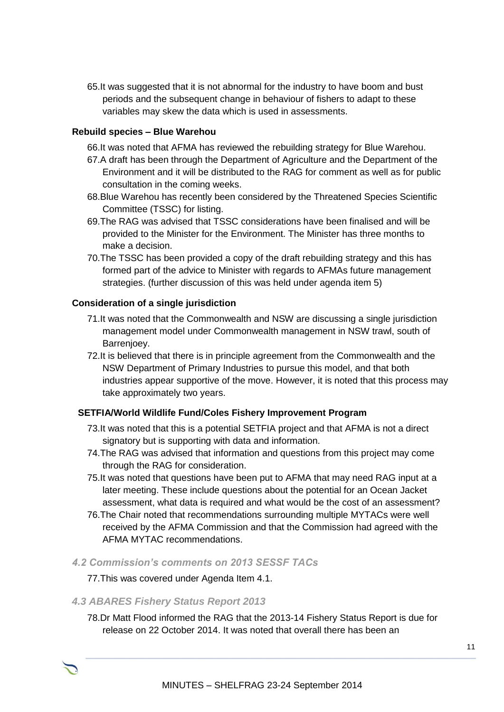65.It was suggested that it is not abnormal for the industry to have boom and bust periods and the subsequent change in behaviour of fishers to adapt to these variables may skew the data which is used in assessments.

#### **Rebuild species – Blue Warehou**

66.It was noted that AFMA has reviewed the rebuilding strategy for Blue Warehou.

- 67.A draft has been through the Department of Agriculture and the Department of the Environment and it will be distributed to the RAG for comment as well as for public consultation in the coming weeks.
- 68.Blue Warehou has recently been considered by the Threatened Species Scientific Committee (TSSC) for listing.
- 69.The RAG was advised that TSSC considerations have been finalised and will be provided to the Minister for the Environment. The Minister has three months to make a decision.
- 70.The TSSC has been provided a copy of the draft rebuilding strategy and this has formed part of the advice to Minister with regards to AFMAs future management strategies. (further discussion of this was held under agenda item 5)

#### **Consideration of a single jurisdiction**

- 71.It was noted that the Commonwealth and NSW are discussing a single jurisdiction management model under Commonwealth management in NSW trawl, south of Barrenjoey.
- 72.It is believed that there is in principle agreement from the Commonwealth and the NSW Department of Primary Industries to pursue this model, and that both industries appear supportive of the move. However, it is noted that this process may take approximately two years.

#### **SETFIA/World Wildlife Fund/Coles Fishery Improvement Program**

- 73.It was noted that this is a potential SETFIA project and that AFMA is not a direct signatory but is supporting with data and information.
- 74.The RAG was advised that information and questions from this project may come through the RAG for consideration.
- 75.It was noted that questions have been put to AFMA that may need RAG input at a later meeting. These include questions about the potential for an Ocean Jacket assessment, what data is required and what would be the cost of an assessment?
- 76.The Chair noted that recommendations surrounding multiple MYTACs were well received by the AFMA Commission and that the Commission had agreed with the AFMA MYTAC recommendations.
- *4.2 Commission's comments on 2013 SESSF TACs*

#### 77.This was covered under Agenda Item 4.1.

#### *4.3 ABARES Fishery Status Report 2013*

78.Dr Matt Flood informed the RAG that the 2013-14 Fishery Status Report is due for release on 22 October 2014. It was noted that overall there has been an

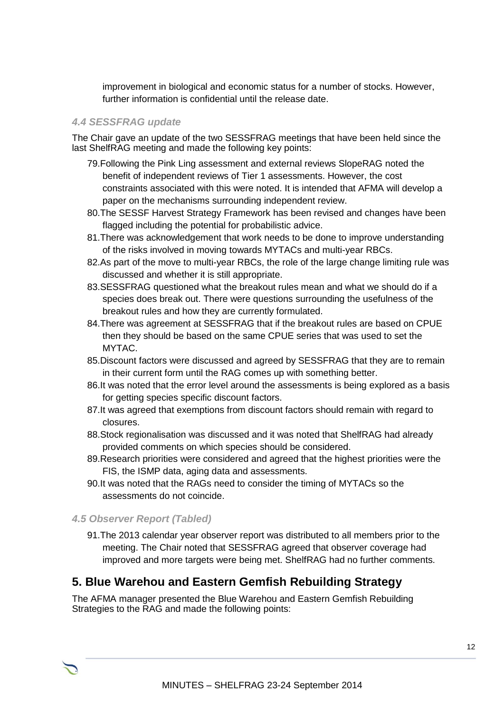improvement in biological and economic status for a number of stocks. However, further information is confidential until the release date.

#### *4.4 SESSFRAG update*

The Chair gave an update of the two SESSFRAG meetings that have been held since the last ShelfRAG meeting and made the following key points:

- 79.Following the Pink Ling assessment and external reviews SlopeRAG noted the benefit of independent reviews of Tier 1 assessments. However, the cost constraints associated with this were noted. It is intended that AFMA will develop a paper on the mechanisms surrounding independent review.
- 80.The SESSF Harvest Strategy Framework has been revised and changes have been flagged including the potential for probabilistic advice.
- 81.There was acknowledgement that work needs to be done to improve understanding of the risks involved in moving towards MYTACs and multi-year RBCs.
- 82.As part of the move to multi-year RBCs, the role of the large change limiting rule was discussed and whether it is still appropriate.
- 83.SESSFRAG questioned what the breakout rules mean and what we should do if a species does break out. There were questions surrounding the usefulness of the breakout rules and how they are currently formulated.
- 84.There was agreement at SESSFRAG that if the breakout rules are based on CPUE then they should be based on the same CPUE series that was used to set the MYTAC.
- 85.Discount factors were discussed and agreed by SESSFRAG that they are to remain in their current form until the RAG comes up with something better.
- 86.It was noted that the error level around the assessments is being explored as a basis for getting species specific discount factors.
- 87.It was agreed that exemptions from discount factors should remain with regard to closures.
- 88.Stock regionalisation was discussed and it was noted that ShelfRAG had already provided comments on which species should be considered.
- 89.Research priorities were considered and agreed that the highest priorities were the FIS, the ISMP data, aging data and assessments.
- 90.It was noted that the RAGs need to consider the timing of MYTACs so the assessments do not coincide.

#### *4.5 Observer Report (Tabled)*

91.The 2013 calendar year observer report was distributed to all members prior to the meeting. The Chair noted that SESSFRAG agreed that observer coverage had improved and more targets were being met. ShelfRAG had no further comments.

# **5. Blue Warehou and Eastern Gemfish Rebuilding Strategy**

The AFMA manager presented the Blue Warehou and Eastern Gemfish Rebuilding Strategies to the RAG and made the following points: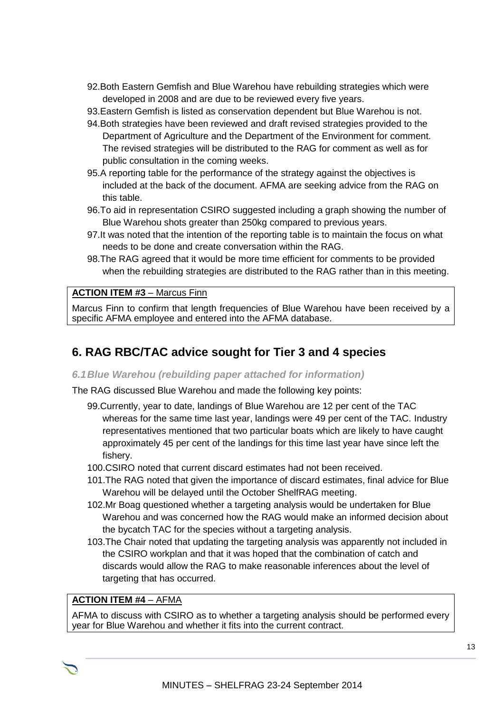- 92.Both Eastern Gemfish and Blue Warehou have rebuilding strategies which were developed in 2008 and are due to be reviewed every five years.
- 93.Eastern Gemfish is listed as conservation dependent but Blue Warehou is not.
- 94.Both strategies have been reviewed and draft revised strategies provided to the Department of Agriculture and the Department of the Environment for comment. The revised strategies will be distributed to the RAG for comment as well as for public consultation in the coming weeks.
- 95.A reporting table for the performance of the strategy against the objectives is included at the back of the document. AFMA are seeking advice from the RAG on this table.
- 96.To aid in representation CSIRO suggested including a graph showing the number of Blue Warehou shots greater than 250kg compared to previous years.
- 97.It was noted that the intention of the reporting table is to maintain the focus on what needs to be done and create conversation within the RAG.
- 98.The RAG agreed that it would be more time efficient for comments to be provided when the rebuilding strategies are distributed to the RAG rather than in this meeting.

#### **ACTION ITEM #3** – Marcus Finn

Marcus Finn to confirm that length frequencies of Blue Warehou have been received by a specific AFMA employee and entered into the AFMA database.

# **6. RAG RBC/TAC advice sought for Tier 3 and 4 species**

#### *6.1Blue Warehou (rebuilding paper attached for information)*

The RAG discussed Blue Warehou and made the following key points:

99.Currently, year to date, landings of Blue Warehou are 12 per cent of the TAC whereas for the same time last year, landings were 49 per cent of the TAC. Industry representatives mentioned that two particular boats which are likely to have caught approximately 45 per cent of the landings for this time last year have since left the fishery.

100.CSIRO noted that current discard estimates had not been received.

- 101.The RAG noted that given the importance of discard estimates, final advice for Blue Warehou will be delayed until the October ShelfRAG meeting.
- 102.Mr Boag questioned whether a targeting analysis would be undertaken for Blue Warehou and was concerned how the RAG would make an informed decision about the bycatch TAC for the species without a targeting analysis.
- 103.The Chair noted that updating the targeting analysis was apparently not included in the CSIRO workplan and that it was hoped that the combination of catch and discards would allow the RAG to make reasonable inferences about the level of targeting that has occurred.

#### **ACTION ITEM #4** – AFMA

AFMA to discuss with CSIRO as to whether a targeting analysis should be performed every year for Blue Warehou and whether it fits into the current contract.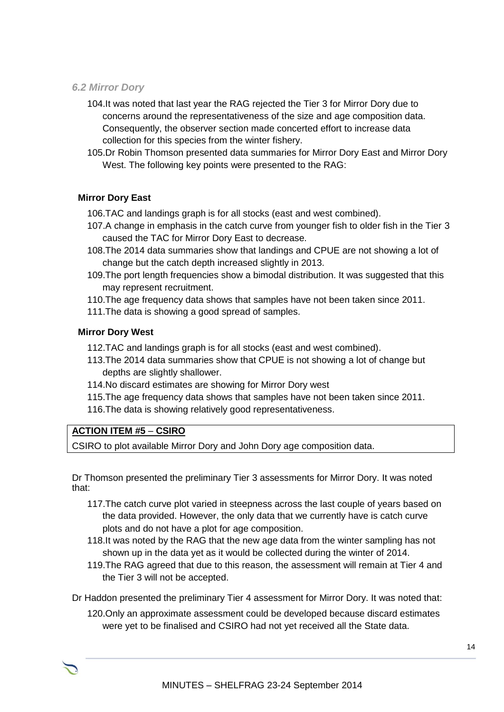#### *6.2 Mirror Dory*

- 104.It was noted that last year the RAG rejected the Tier 3 for Mirror Dory due to concerns around the representativeness of the size and age composition data. Consequently, the observer section made concerted effort to increase data collection for this species from the winter fishery.
- 105.Dr Robin Thomson presented data summaries for Mirror Dory East and Mirror Dory West. The following key points were presented to the RAG:

#### **Mirror Dory East**

- 106.TAC and landings graph is for all stocks (east and west combined).
- 107.A change in emphasis in the catch curve from younger fish to older fish in the Tier 3 caused the TAC for Mirror Dory East to decrease.
- 108.The 2014 data summaries show that landings and CPUE are not showing a lot of change but the catch depth increased slightly in 2013.
- 109.The port length frequencies show a bimodal distribution. It was suggested that this may represent recruitment.
- 110.The age frequency data shows that samples have not been taken since 2011.
- 111.The data is showing a good spread of samples.

#### **Mirror Dory West**

- 112.TAC and landings graph is for all stocks (east and west combined).
- 113.The 2014 data summaries show that CPUE is not showing a lot of change but depths are slightly shallower.
- 114.No discard estimates are showing for Mirror Dory west
- 115.The age frequency data shows that samples have not been taken since 2011.
- 116.The data is showing relatively good representativeness.

#### **ACTION ITEM #5** – **CSIRO**

CSIRO to plot available Mirror Dory and John Dory age composition data.

Dr Thomson presented the preliminary Tier 3 assessments for Mirror Dory. It was noted that:

- 117.The catch curve plot varied in steepness across the last couple of years based on the data provided. However, the only data that we currently have is catch curve plots and do not have a plot for age composition.
- 118.It was noted by the RAG that the new age data from the winter sampling has not shown up in the data yet as it would be collected during the winter of 2014.
- 119.The RAG agreed that due to this reason, the assessment will remain at Tier 4 and the Tier 3 will not be accepted.

Dr Haddon presented the preliminary Tier 4 assessment for Mirror Dory. It was noted that:

120.Only an approximate assessment could be developed because discard estimates were yet to be finalised and CSIRO had not yet received all the State data.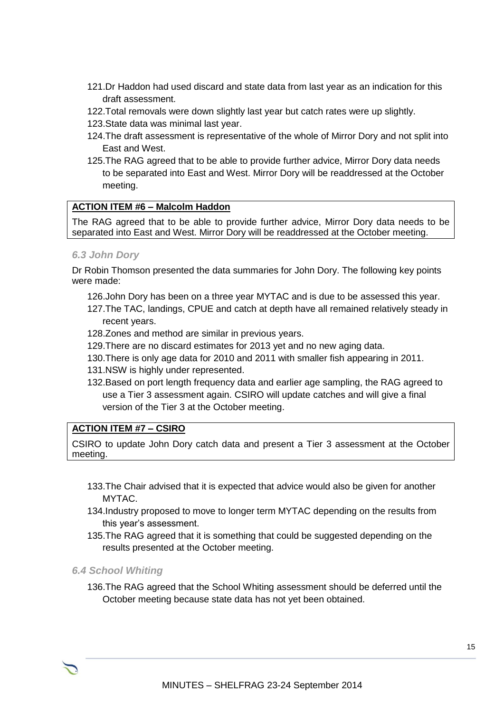- 121.Dr Haddon had used discard and state data from last year as an indication for this draft assessment.
- 122.Total removals were down slightly last year but catch rates were up slightly.
- 123.State data was minimal last year.
- 124.The draft assessment is representative of the whole of Mirror Dory and not split into East and West.
- 125.The RAG agreed that to be able to provide further advice, Mirror Dory data needs to be separated into East and West. Mirror Dory will be readdressed at the October meeting.

#### **ACTION ITEM #6 – Malcolm Haddon**

The RAG agreed that to be able to provide further advice, Mirror Dory data needs to be separated into East and West. Mirror Dory will be readdressed at the October meeting.

#### *6.3 John Dory*

Dr Robin Thomson presented the data summaries for John Dory. The following key points were made:

- 126.John Dory has been on a three year MYTAC and is due to be assessed this year.
- 127.The TAC, landings, CPUE and catch at depth have all remained relatively steady in recent years.
- 128.Zones and method are similar in previous years.
- 129.There are no discard estimates for 2013 yet and no new aging data.
- 130.There is only age data for 2010 and 2011 with smaller fish appearing in 2011.
- 131.NSW is highly under represented.
- 132.Based on port length frequency data and earlier age sampling, the RAG agreed to use a Tier 3 assessment again. CSIRO will update catches and will give a final version of the Tier 3 at the October meeting.

#### **ACTION ITEM #7 – CSIRO**

CSIRO to update John Dory catch data and present a Tier 3 assessment at the October meeting.

- 133.The Chair advised that it is expected that advice would also be given for another MYTAC.
- 134.Industry proposed to move to longer term MYTAC depending on the results from this year's assessment.
- 135.The RAG agreed that it is something that could be suggested depending on the results presented at the October meeting.

*6.4 School Whiting*

136.The RAG agreed that the School Whiting assessment should be deferred until the October meeting because state data has not yet been obtained.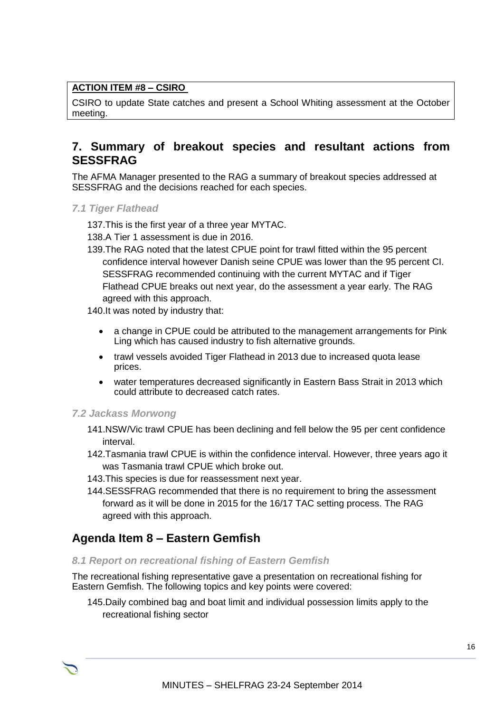#### **ACTION ITEM #8 – CSIRO**

CSIRO to update State catches and present a School Whiting assessment at the October meeting.

### **7. Summary of breakout species and resultant actions from SESSFRAG**

The AFMA Manager presented to the RAG a summary of breakout species addressed at SESSFRAG and the decisions reached for each species.

*7.1 Tiger Flathead*

137.This is the first year of a three year MYTAC.

138.A Tier 1 assessment is due in 2016.

139.The RAG noted that the latest CPUE point for trawl fitted within the 95 percent confidence interval however Danish seine CPUE was lower than the 95 percent CI. SESSFRAG recommended continuing with the current MYTAC and if Tiger Flathead CPUE breaks out next year, do the assessment a year early. The RAG agreed with this approach.

140.It was noted by industry that:

- a change in CPUE could be attributed to the management arrangements for Pink Ling which has caused industry to fish alternative grounds.
- trawl vessels avoided Tiger Flathead in 2013 due to increased quota lease prices.
- water temperatures decreased significantly in Eastern Bass Strait in 2013 which could attribute to decreased catch rates.

#### *7.2 Jackass Morwong*

- 141.NSW/Vic trawl CPUE has been declining and fell below the 95 per cent confidence interval.
- 142.Tasmania trawl CPUE is within the confidence interval. However, three years ago it was Tasmania trawl CPUE which broke out.
- 143.This species is due for reassessment next year.
- 144.SESSFRAG recommended that there is no requirement to bring the assessment forward as it will be done in 2015 for the 16/17 TAC setting process. The RAG agreed with this approach.

## **Agenda Item 8 – Eastern Gemfish**

#### *8.1 Report on recreational fishing of Eastern Gemfish*

The recreational fishing representative gave a presentation on recreational fishing for Eastern Gemfish. The following topics and key points were covered:

145.Daily combined bag and boat limit and individual possession limits apply to the recreational fishing sector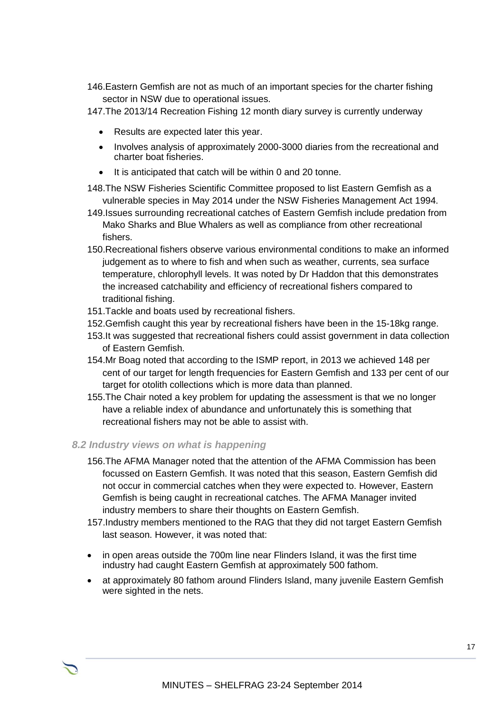146.Eastern Gemfish are not as much of an important species for the charter fishing sector in NSW due to operational issues.

147.The 2013/14 Recreation Fishing 12 month diary survey is currently underway

- Results are expected later this year.
- Involves analysis of approximately 2000-3000 diaries from the recreational and charter boat fisheries.
- It is anticipated that catch will be within 0 and 20 tonne.
- 148.The NSW Fisheries Scientific Committee proposed to list Eastern Gemfish as a vulnerable species in May 2014 under the NSW Fisheries Management Act 1994.
- 149.Issues surrounding recreational catches of Eastern Gemfish include predation from Mako Sharks and Blue Whalers as well as compliance from other recreational fishers.
- 150.Recreational fishers observe various environmental conditions to make an informed judgement as to where to fish and when such as weather, currents, sea surface temperature, chlorophyll levels. It was noted by Dr Haddon that this demonstrates the increased catchability and efficiency of recreational fishers compared to traditional fishing.
- 151.Tackle and boats used by recreational fishers.
- 152.Gemfish caught this year by recreational fishers have been in the 15-18kg range.
- 153.It was suggested that recreational fishers could assist government in data collection of Eastern Gemfish.
- 154.Mr Boag noted that according to the ISMP report, in 2013 we achieved 148 per cent of our target for length frequencies for Eastern Gemfish and 133 per cent of our target for otolith collections which is more data than planned.
- 155.The Chair noted a key problem for updating the assessment is that we no longer have a reliable index of abundance and unfortunately this is something that recreational fishers may not be able to assist with.

#### *8.2 Industry views on what is happening*

- 156.The AFMA Manager noted that the attention of the AFMA Commission has been focussed on Eastern Gemfish. It was noted that this season, Eastern Gemfish did not occur in commercial catches when they were expected to. However, Eastern Gemfish is being caught in recreational catches. The AFMA Manager invited industry members to share their thoughts on Eastern Gemfish.
- 157.Industry members mentioned to the RAG that they did not target Eastern Gemfish last season. However, it was noted that:
- in open areas outside the 700m line near Flinders Island, it was the first time industry had caught Eastern Gemfish at approximately 500 fathom.
- at approximately 80 fathom around Flinders Island, many juvenile Eastern Gemfish were sighted in the nets.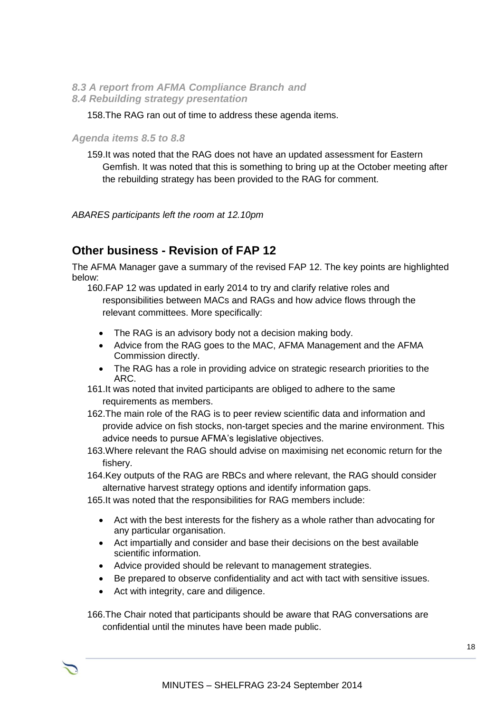#### *8.3 A report from AFMA Compliance Branch and 8.4 Rebuilding strategy presentation*

#### 158.The RAG ran out of time to address these agenda items.

#### *Agenda items 8.5 to 8.8*

159.It was noted that the RAG does not have an updated assessment for Eastern Gemfish. It was noted that this is something to bring up at the October meeting after the rebuilding strategy has been provided to the RAG for comment.

*ABARES participants left the room at 12.10pm*

## **Other business - Revision of FAP 12**

The AFMA Manager gave a summary of the revised FAP 12. The key points are highlighted below:

160.FAP 12 was updated in early 2014 to try and clarify relative roles and responsibilities between MACs and RAGs and how advice flows through the relevant committees. More specifically:

- The RAG is an advisory body not a decision making body.
- Advice from the RAG goes to the MAC, AFMA Management and the AFMA Commission directly.
- The RAG has a role in providing advice on strategic research priorities to the ARC.
- 161.It was noted that invited participants are obliged to adhere to the same requirements as members.
- 162.The main role of the RAG is to peer review scientific data and information and provide advice on fish stocks, non-target species and the marine environment. This advice needs to pursue AFMA's legislative objectives.
- 163.Where relevant the RAG should advise on maximising net economic return for the fishery.
- 164.Key outputs of the RAG are RBCs and where relevant, the RAG should consider alternative harvest strategy options and identify information gaps.
- 165.It was noted that the responsibilities for RAG members include:
	- Act with the best interests for the fishery as a whole rather than advocating for any particular organisation.
	- Act impartially and consider and base their decisions on the best available scientific information.
	- Advice provided should be relevant to management strategies.
	- Be prepared to observe confidentiality and act with tact with sensitive issues.
	- Act with integrity, care and diligence.

166.The Chair noted that participants should be aware that RAG conversations are confidential until the minutes have been made public.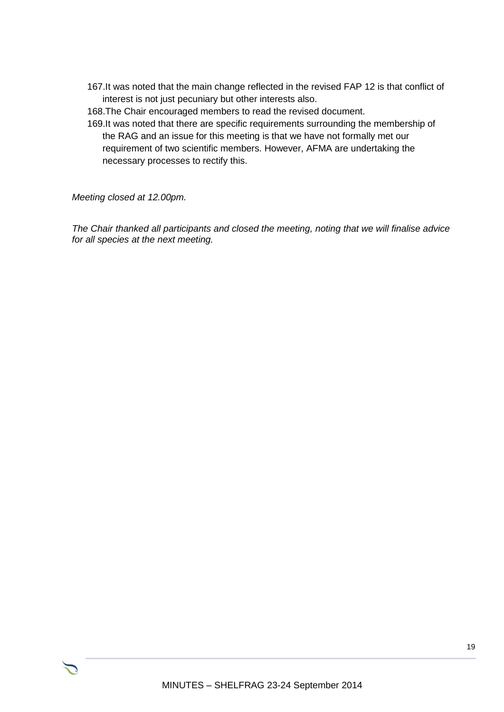167.It was noted that the main change reflected in the revised FAP 12 is that conflict of interest is not just pecuniary but other interests also.

168.The Chair encouraged members to read the revised document.

169.It was noted that there are specific requirements surrounding the membership of the RAG and an issue for this meeting is that we have not formally met our requirement of two scientific members. However, AFMA are undertaking the necessary processes to rectify this.

*Meeting closed at 12.00pm.*

*The Chair thanked all participants and closed the meeting, noting that we will finalise advice for all species at the next meeting.*

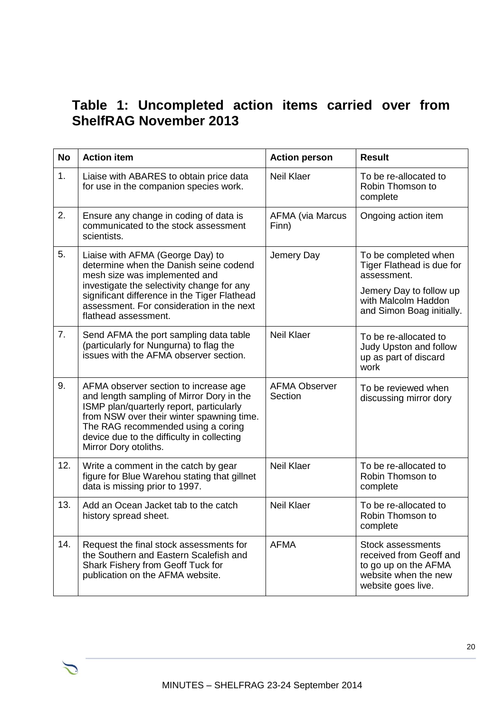# **Table 1: Uncompleted action items carried over from ShelfRAG November 2013**

| <b>No</b> | <b>Action item</b>                                                                                                                                                                                                                                                                       | <b>Action person</b>             | <b>Result</b>                                                                                                                                   |
|-----------|------------------------------------------------------------------------------------------------------------------------------------------------------------------------------------------------------------------------------------------------------------------------------------------|----------------------------------|-------------------------------------------------------------------------------------------------------------------------------------------------|
| 1.        | Liaise with ABARES to obtain price data<br>for use in the companion species work.                                                                                                                                                                                                        | <b>Neil Klaer</b>                | To be re-allocated to<br>Robin Thomson to<br>complete                                                                                           |
| 2.        | Ensure any change in coding of data is<br>communicated to the stock assessment<br>scientists.                                                                                                                                                                                            | <b>AFMA (via Marcus</b><br>Finn) | Ongoing action item                                                                                                                             |
| 5.        | Liaise with AFMA (George Day) to<br>determine when the Danish seine codend<br>mesh size was implemented and<br>investigate the selectivity change for any<br>significant difference in the Tiger Flathead<br>assessment. For consideration in the next<br>flathead assessment.           | Jemery Day                       | To be completed when<br>Tiger Flathead is due for<br>assessment.<br>Jemery Day to follow up<br>with Malcolm Haddon<br>and Simon Boag initially. |
| 7.        | Send AFMA the port sampling data table<br>(particularly for Nungurna) to flag the<br>issues with the AFMA observer section.                                                                                                                                                              | <b>Neil Klaer</b>                | To be re-allocated to<br>Judy Upston and follow<br>up as part of discard<br>work                                                                |
| 9.        | AFMA observer section to increase age<br>and length sampling of Mirror Dory in the<br>ISMP plan/quarterly report, particularly<br>from NSW over their winter spawning time.<br>The RAG recommended using a coring<br>device due to the difficulty in collecting<br>Mirror Dory otoliths. | <b>AFMA Observer</b><br>Section  | To be reviewed when<br>discussing mirror dory                                                                                                   |
| 12.       | Write a comment in the catch by gear<br>figure for Blue Warehou stating that gillnet<br>data is missing prior to 1997.                                                                                                                                                                   | <b>Neil Klaer</b>                | To be re-allocated to<br>Robin Thomson to<br>complete                                                                                           |
| 13.       | Add an Ocean Jacket tab to the catch<br>history spread sheet.                                                                                                                                                                                                                            | <b>Neil Klaer</b>                | To be re-allocated to<br>Robin Thomson to<br>complete                                                                                           |
| 14.       | Request the final stock assessments for<br>the Southern and Eastern Scalefish and<br>Shark Fishery from Geoff Tuck for<br>publication on the AFMA website.                                                                                                                               | <b>AFMA</b>                      | <b>Stock assessments</b><br>received from Geoff and<br>to go up on the AFMA<br>website when the new<br>website goes live.                       |